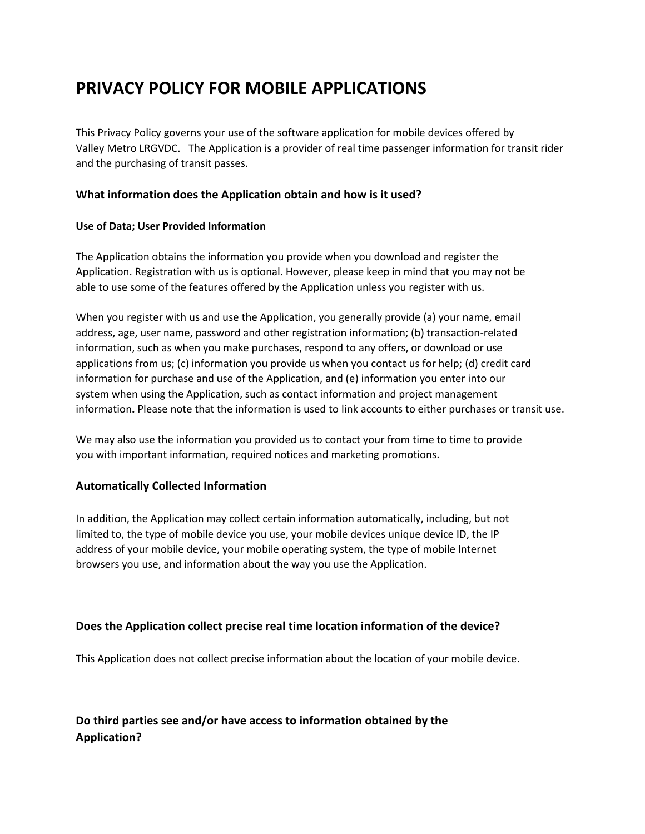# **PRIVACY POLICY FOR MOBILE APPLICATIONS**

This Privacy Policy governs your use of the software application for mobile devices offered by Valley Metro LRGVDC. The Application is a provider of real time passenger information for transit rider and the purchasing of transit passes.

## **What information does the Application obtain and how is it used?**

#### **Use of Data; User Provided Information**

The Application obtains the information you provide when you download and register the Application. Registration with us is optional. However, please keep in mind that you may not be able to use some of the features offered by the Application unless you register with us.

When you register with us and use the Application, you generally provide (a) your name, email address, age, user name, password and other registration information; (b) transaction-related information, such as when you make purchases, respond to any offers, or download or use applications from us; (c) information you provide us when you contact us for help; (d) credit card information for purchase and use of the Application, and (e) information you enter into our system when using the Application, such as contact information and project management information**.** Please note that the information is used to link accounts to either purchases or transit use.

We may also use the information you provided us to contact your from time to time to provide you with important information, required notices and marketing promotions.

## **Automatically Collected Information**

In addition, the Application may collect certain information automatically, including, but not limited to, the type of mobile device you use, your mobile devices unique device ID, the IP address of your mobile device, your mobile operating system, the type of mobile Internet browsers you use, and information about the way you use the Application.

## **Does the Application collect precise real time location information of the device?**

This Application does not collect precise information about the location of your mobile device.

# **Do third parties see and/or have access to information obtained by the Application?**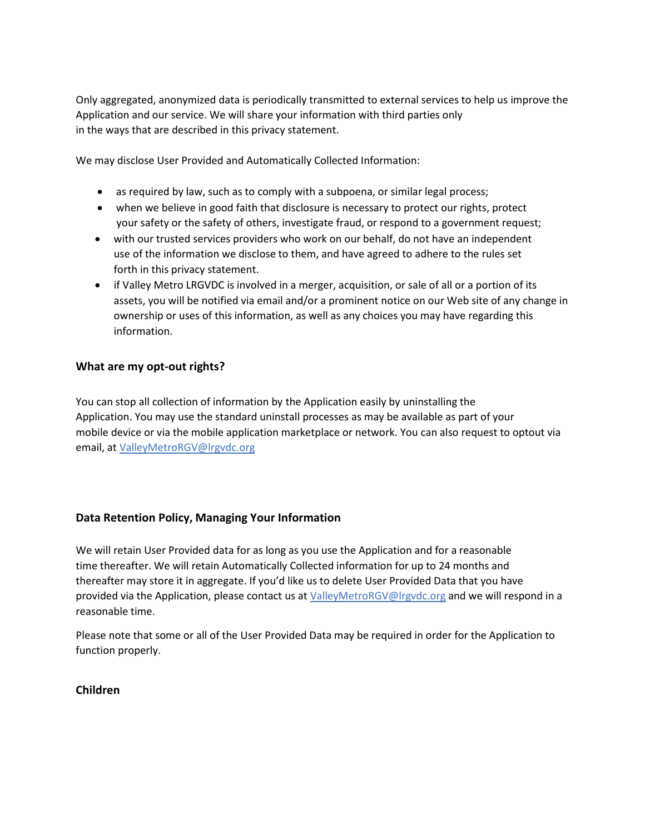Only aggregated, anonymized data is periodically transmitted to external services to help us improve the Application and our service. We will share your information with third parties only in the ways that are described in this privacy statement.

We may disclose User Provided and Automatically Collected Information:

- as required by law, such as to comply with a subpoena, or similar legal process;
- when we believe in good faith that disclosure is necessary to protect our rights, protect your safety or the safety of others, investigate fraud, or respond to a government request;
- with our trusted services providers who work on our behalf, do not have an independent use of the information we disclose to them, and have agreed to adhere to the rules set forth in this privacy statement.
- if Valley Metro LRGVDC is involved in a merger, acquisition, or sale of all or a portion of its assets, you will be notified via email and/or a prominent notice on our Web site of any change in ownership or uses of this information, as well as any choices you may have regarding this information.

#### **What are my opt-out rights?**

You can stop all collection of information by the Application easily by uninstalling the Application. You may use the standard uninstall processes as may be available as part of your mobile device or via the mobile application marketplace or network. You can also request to optout via email, at [ValleyMetroRGV@lrgvdc.org](mailto:ValleyMetroRGV@lrgvdc.org)

## **Data Retention Policy, Managing Your Information**

We will retain User Provided data for as long as you use the Application and for a reasonable time thereafter. We will retain Automatically Collected information for up to 24 months and thereafter may store it in aggregate. If you'd like us to delete User Provided Data that you have provided via the Application, please contact us at [ValleyMetroRGV@lrgvdc.org](mailto:ValleyMetroRGV@lrgvdc.org) and we will respond in a reasonable time.

Please note that some or all of the User Provided Data may be required in order for the Application to function properly.

#### **Children**